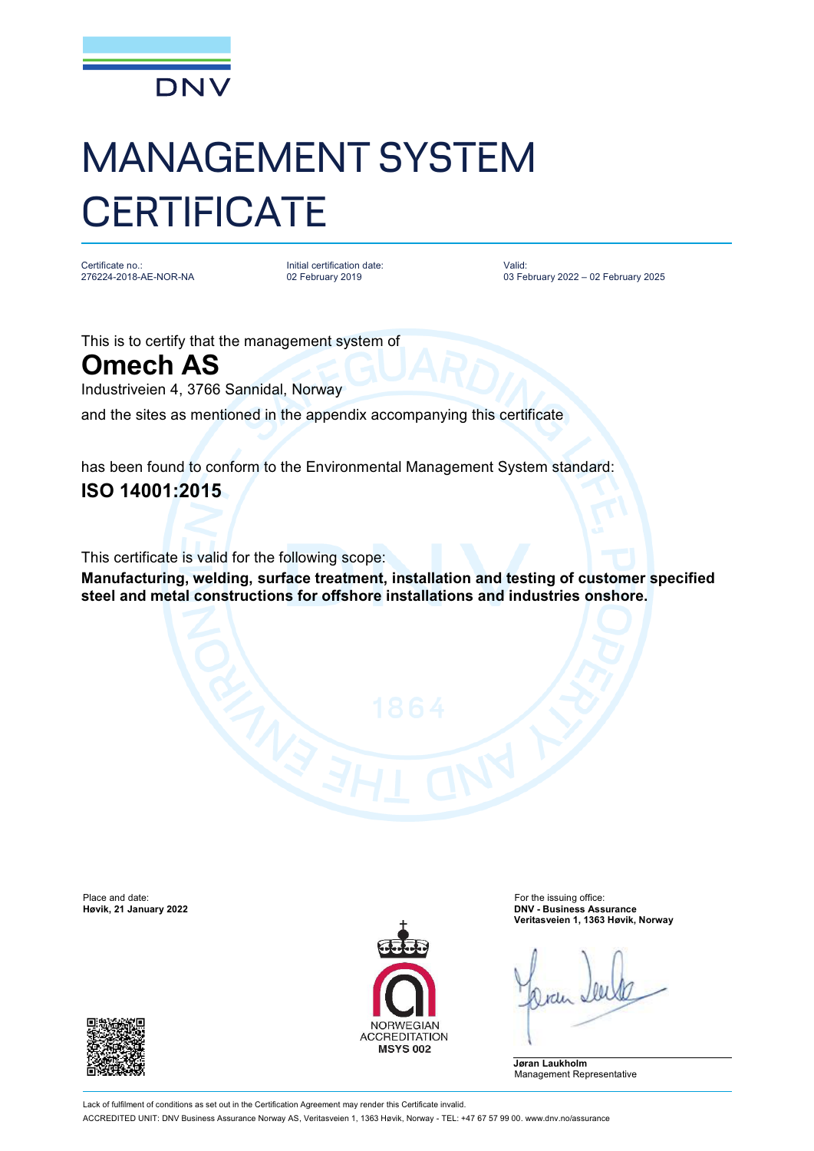

## MANAGEMENT SYSTEM **CERTIFICATE**

Certificate no.: 276224-2018-AE-NOR-NA

Initial certification date: 02 February 2019

Valid: 03 February 2022 – 02 February 2025

This is to certify that the management system of

**Omech AS**

Industriveien 4, 3766 Sannidal, Norway

and the sites as mentioned in the appendix accompanying this certificate

has been found to conform to the Environmental Management System standard: **ISO 14001:2015**

This certificate is valid for the following scope:

**Manufacturing, welding, surface treatment, installation and testing of customer specified steel and metal constructions for offshore installations and industries onshore.**

Place and date: For the issuing office:<br> **Place and date:** For the issuing office:<br> **Place and date:** For the issuing office: For the issuing office: For the issuing office:





**Høvik, 21 January 2022 DNV - Business Assurance Veritasveien 1, 1363 Høvik, Norway**

**Jøran Laukholm** Management Representative

Lack of fulfilment of conditions as set out in the Certification Agreement may render this Certificate invalid. ACCREDITED UNIT: DNV Business Assurance Norway AS, Veritasveien 1, 1363 Høvik, Norway - TEL: +47 67 57 99 00. [www.dnv.no/assurance](http://www.dnv.no/assurance)